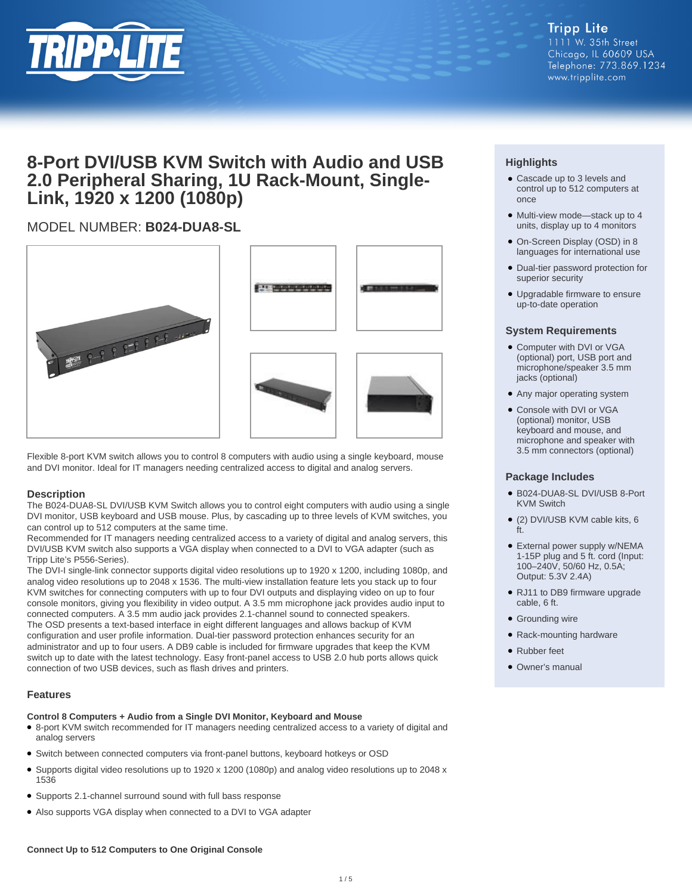

# **8-Port DVI/USB KVM Switch with Audio and USB 2.0 Peripheral Sharing, 1U Rack-Mount, Single-Link, 1920 x 1200 (1080p)**

## MODEL NUMBER: **B024-DUA8-SL**







Flexible 8-port KVM switch allows you to control 8 computers with audio using a single keyboard, mouse and DVI monitor. Ideal for IT managers needing centralized access to digital and analog servers.

### **Description**

The B024-DUA8-SL DVI/USB KVM Switch allows you to control eight computers with audio using a single DVI monitor, USB keyboard and USB mouse. Plus, by cascading up to three levels of KVM switches, you can control up to 512 computers at the same time.

Recommended for IT managers needing centralized access to a variety of digital and analog servers, this DVI/USB KVM switch also supports a VGA display when connected to a DVI to VGA adapter (such as Tripp Lite's P556-Series).

The DVI-I single-link connector supports digital video resolutions up to 1920 x 1200, including 1080p, and analog video resolutions up to 2048 x 1536. The multi-view installation feature lets you stack up to four KVM switches for connecting computers with up to four DVI outputs and displaying video on up to four console monitors, giving you flexibility in video output. A 3.5 mm microphone jack provides audio input to connected computers. A 3.5 mm audio jack provides 2.1-channel sound to connected speakers. The OSD presents a text-based interface in eight different languages and allows backup of KVM configuration and user profile information. Dual-tier password protection enhances security for an administrator and up to four users. A DB9 cable is included for firmware upgrades that keep the KVM switch up to date with the latest technology. Easy front-panel access to USB 2.0 hub ports allows quick connection of two USB devices, such as flash drives and printers.

### **Features**

### **Control 8 Computers + Audio from a Single DVI Monitor, Keyboard and Mouse**

- 8-port KVM switch recommended for IT managers needing centralized access to a variety of digital and analog servers
- Switch between connected computers via front-panel buttons, keyboard hotkeys or OSD
- Supports digital video resolutions up to 1920 x 1200 (1080p) and analog video resolutions up to 2048 x 1536
- Supports 2.1-channel surround sound with full bass response
- Also supports VGA display when connected to a DVI to VGA adapter

## **Highlights**

- Cascade up to 3 levels and control up to 512 computers at once
- Multi-view mode-stack up to 4 units, display up to 4 monitors
- On-Screen Display (OSD) in 8 languages for international use
- Dual-tier password protection for superior security
- Upgradable firmware to ensure up-to-date operation

### **System Requirements**

- Computer with DVI or VGA (optional) port, USB port and microphone/speaker 3.5 mm jacks (optional)
- Any major operating system
- Console with DVI or VGA (optional) monitor, USB keyboard and mouse, and microphone and speaker with 3.5 mm connectors (optional)

### **Package Includes**

- B024-DUA8-SL DVI/USB 8-Port KVM Switch
- (2) DVI/USB KVM cable kits, 6 ft.
- External power supply w/NEMA 1-15P plug and 5 ft. cord (Input: 100–240V, 50/60 Hz, 0.5A; Output: 5.3V 2.4A)
- RJ11 to DB9 firmware upgrade cable, 6 ft.
- Grounding wire
- Rack-mounting hardware
- Rubber feet
- Owner's manual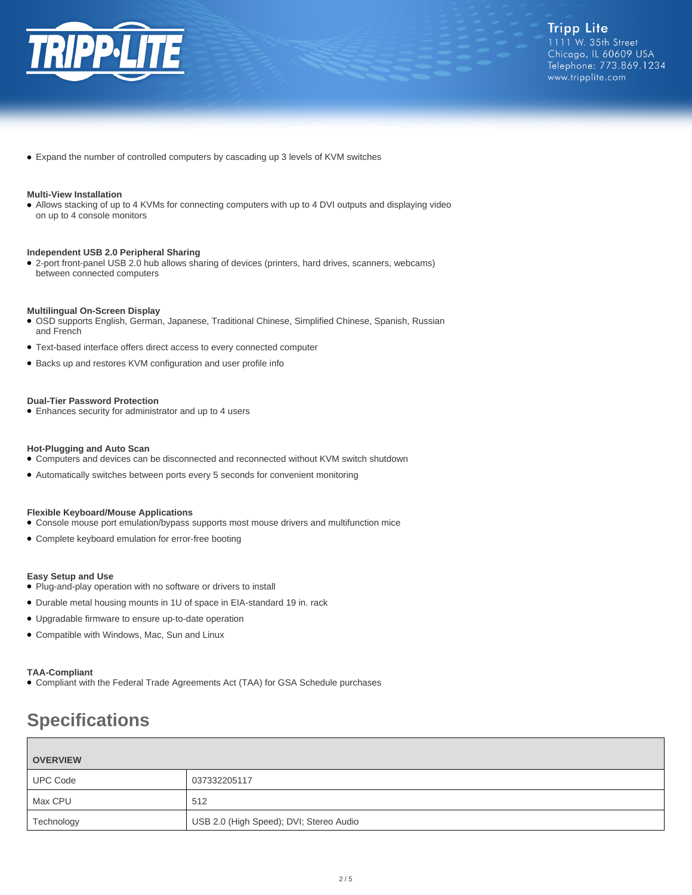

● Expand the number of controlled computers by cascading up 3 levels of KVM switches

#### **Multi-View Installation**

● Allows stacking of up to 4 KVMs for connecting computers with up to 4 DVI outputs and displaying video on up to 4 console monitors

#### **Independent USB 2.0 Peripheral Sharing**

● 2-port front-panel USB 2.0 hub allows sharing of devices (printers, hard drives, scanners, webcams) between connected computers

#### **Multilingual On-Screen Display**

- OSD supports English, German, Japanese, Traditional Chinese, Simplified Chinese, Spanish, Russian and French
- Text-based interface offers direct access to every connected computer
- Backs up and restores KVM configuration and user profile info

#### **Dual-Tier Password Protection**

● Enhances security for administrator and up to 4 users

#### **Hot-Plugging and Auto Scan**

- Computers and devices can be disconnected and reconnected without KVM switch shutdown
- Automatically switches between ports every 5 seconds for convenient monitoring

#### **Flexible Keyboard/Mouse Applications**

- Console mouse port emulation/bypass supports most mouse drivers and multifunction mice
- Complete keyboard emulation for error-free booting

#### **Easy Setup and Use**

- Plug-and-play operation with no software or drivers to install
- Durable metal housing mounts in 1U of space in EIA-standard 19 in. rack
- Upgradable firmware to ensure up-to-date operation
- Compatible with Windows, Mac, Sun and Linux

#### **TAA-Compliant**

● Compliant with the Federal Trade Agreements Act (TAA) for GSA Schedule purchases

# **Specifications**

| <b>OVERVIEW</b> |                                         |
|-----------------|-----------------------------------------|
| <b>UPC Code</b> | 037332205117                            |
| Max CPU         | 512                                     |
| Technology      | USB 2.0 (High Speed); DVI; Stereo Audio |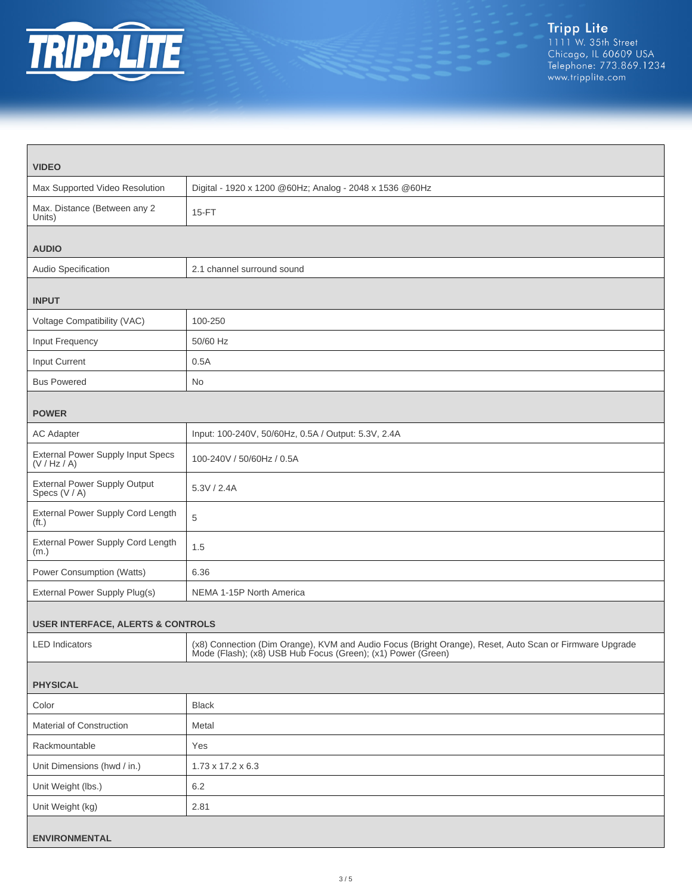

| <b>VIDEO</b>                                             |                                                                                                                                                                         |  |
|----------------------------------------------------------|-------------------------------------------------------------------------------------------------------------------------------------------------------------------------|--|
| Max Supported Video Resolution                           | Digital - 1920 x 1200 @60Hz; Analog - 2048 x 1536 @60Hz                                                                                                                 |  |
| Max. Distance (Between any 2<br>Units)                   | 15-FT                                                                                                                                                                   |  |
| <b>AUDIO</b>                                             |                                                                                                                                                                         |  |
| Audio Specification                                      | 2.1 channel surround sound                                                                                                                                              |  |
| <b>INPUT</b>                                             |                                                                                                                                                                         |  |
| Voltage Compatibility (VAC)                              | 100-250                                                                                                                                                                 |  |
| Input Frequency                                          | 50/60 Hz                                                                                                                                                                |  |
| Input Current                                            | 0.5A                                                                                                                                                                    |  |
| <b>Bus Powered</b>                                       | No                                                                                                                                                                      |  |
| <b>POWER</b>                                             |                                                                                                                                                                         |  |
| <b>AC Adapter</b>                                        | Input: 100-240V, 50/60Hz, 0.5A / Output: 5.3V, 2.4A                                                                                                                     |  |
| <b>External Power Supply Input Specs</b><br>(V / Hz / A) | 100-240V / 50/60Hz / 0.5A                                                                                                                                               |  |
| <b>External Power Supply Output</b><br>Specs (V / A)     | 5.3V / 2.4A                                                                                                                                                             |  |
| External Power Supply Cord Length<br>(f <sub>t</sub> )   | 5                                                                                                                                                                       |  |
| External Power Supply Cord Length<br>(m.)                | 1.5                                                                                                                                                                     |  |
| Power Consumption (Watts)                                | 6.36                                                                                                                                                                    |  |
| External Power Supply Plug(s)                            | NEMA 1-15P North America                                                                                                                                                |  |
| <b>USER INTERFACE, ALERTS &amp; CONTROLS</b>             |                                                                                                                                                                         |  |
| <b>LED</b> Indicators                                    | (x8) Connection (Dim Orange), KVM and Audio Focus (Bright Orange), Reset, Auto Scan or Firmware Upgrade<br>Mode (Flash); (x8) USB Hub Focus (Green); (x1) Power (Green) |  |
| <b>PHYSICAL</b>                                          |                                                                                                                                                                         |  |
| Color                                                    | <b>Black</b>                                                                                                                                                            |  |
| Material of Construction                                 | Metal                                                                                                                                                                   |  |
| Rackmountable                                            | Yes                                                                                                                                                                     |  |
| Unit Dimensions (hwd / in.)                              | $1.73 \times 17.2 \times 6.3$                                                                                                                                           |  |
| Unit Weight (lbs.)                                       | 6.2                                                                                                                                                                     |  |
| Unit Weight (kg)                                         | 2.81                                                                                                                                                                    |  |
| <b>ENVIRONMENTAL</b>                                     |                                                                                                                                                                         |  |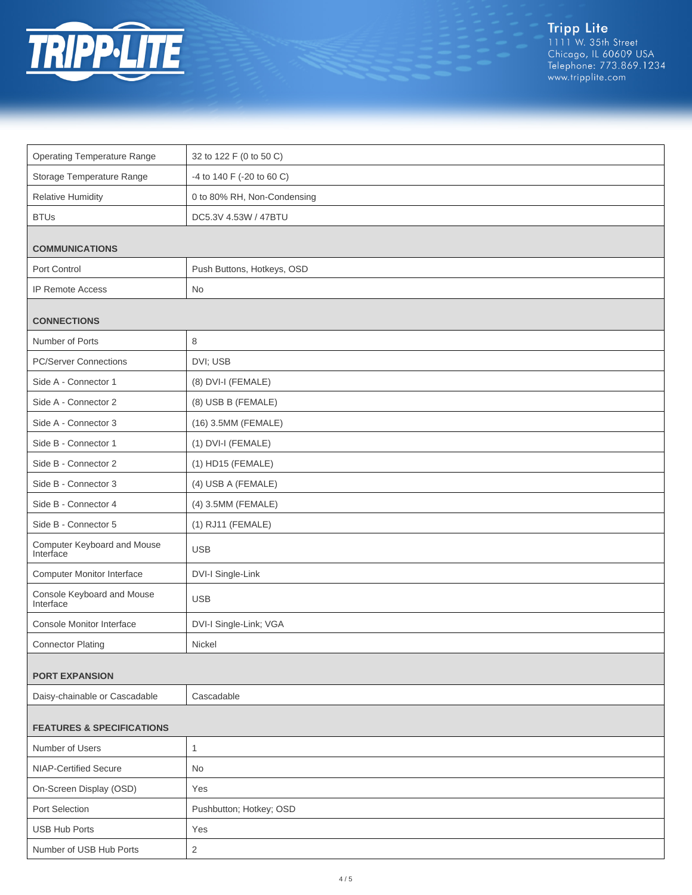

Tripp Lite<br>1111 W. 35th Street<br>Chicago, IL 60609 USA<br>Telephone: 773.869.1234<br>www.tripplite.com

| <b>Operating Temperature Range</b>       | 32 to 122 F (0 to 50 C)     |  |
|------------------------------------------|-----------------------------|--|
| Storage Temperature Range                | -4 to 140 F (-20 to 60 C)   |  |
| <b>Relative Humidity</b>                 | 0 to 80% RH, Non-Condensing |  |
| <b>BTUs</b>                              | DC5.3V 4.53W / 47BTU        |  |
| <b>COMMUNICATIONS</b>                    |                             |  |
| Port Control                             | Push Buttons, Hotkeys, OSD  |  |
| <b>IP Remote Access</b>                  | No                          |  |
| <b>CONNECTIONS</b>                       |                             |  |
| Number of Ports                          | 8                           |  |
| <b>PC/Server Connections</b>             | DVI; USB                    |  |
| Side A - Connector 1                     | (8) DVI-I (FEMALE)          |  |
| Side A - Connector 2                     | (8) USB B (FEMALE)          |  |
| Side A - Connector 3                     | (16) 3.5MM (FEMALE)         |  |
| Side B - Connector 1                     | (1) DVI-I (FEMALE)          |  |
| Side B - Connector 2                     | (1) HD15 (FEMALE)           |  |
| Side B - Connector 3                     | (4) USB A (FEMALE)          |  |
| Side B - Connector 4                     | (4) 3.5MM (FEMALE)          |  |
| Side B - Connector 5                     | (1) RJ11 (FEMALE)           |  |
| Computer Keyboard and Mouse<br>Interface | <b>USB</b>                  |  |
| <b>Computer Monitor Interface</b>        | DVI-I Single-Link           |  |
| Console Keyboard and Mouse<br>Interface  | <b>USB</b>                  |  |
| Console Monitor Interface                | DVI-I Single-Link; VGA      |  |
| <b>Connector Plating</b>                 | Nickel                      |  |
| <b>PORT EXPANSION</b>                    |                             |  |
| Daisy-chainable or Cascadable            | Cascadable                  |  |
| <b>FEATURES &amp; SPECIFICATIONS</b>     |                             |  |
| Number of Users                          | $\mathbf{1}$                |  |
| <b>NIAP-Certified Secure</b>             | No                          |  |
| On-Screen Display (OSD)                  | Yes                         |  |
| Port Selection                           | Pushbutton; Hotkey; OSD     |  |
| <b>USB Hub Ports</b>                     | Yes                         |  |
| Number of USB Hub Ports                  | $\overline{c}$              |  |